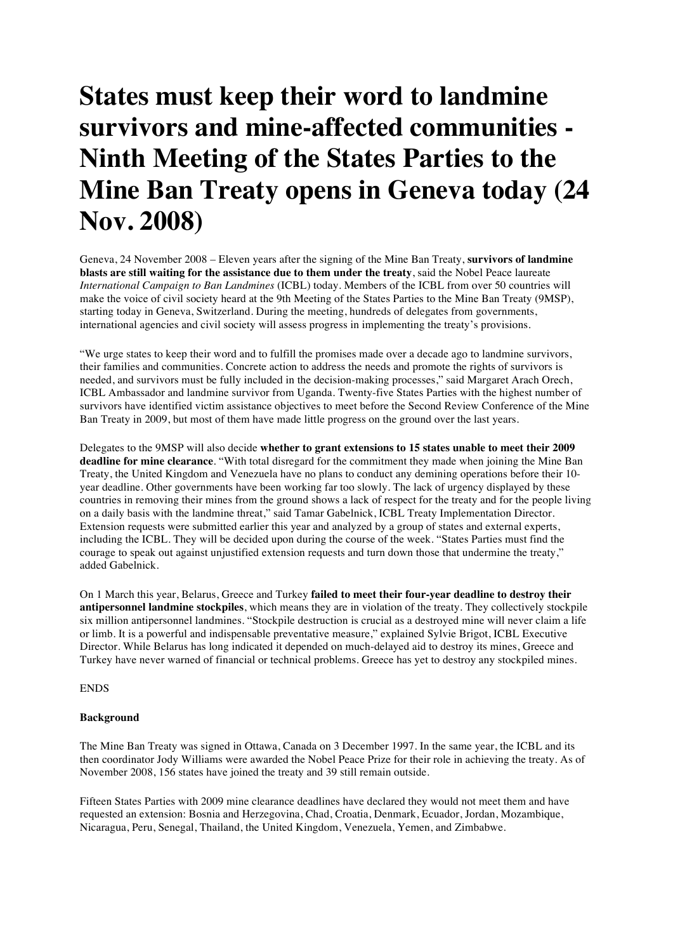## **States must keep their word to landmine survivors and mine-affected communities - Ninth Meeting of the States Parties to the Mine Ban Treaty opens in Geneva today (24 Nov. 2008)**

Geneva, 24 November 2008 – Eleven years after the signing of the Mine Ban Treaty, **survivors of landmine blasts are still waiting for the assistance due to them under the treaty**, said the Nobel Peace laureate *International Campaign to Ban Landmines* (ICBL) today. Members of the ICBL from over 50 countries will make the voice of civil society heard at the 9th Meeting of the States Parties to the Mine Ban Treaty (9MSP), starting today in Geneva, Switzerland. During the meeting, hundreds of delegates from governments, international agencies and civil society will assess progress in implementing the treaty's provisions.

"We urge states to keep their word and to fulfill the promises made over a decade ago to landmine survivors, their families and communities. Concrete action to address the needs and promote the rights of survivors is needed, and survivors must be fully included in the decision-making processes," said Margaret Arach Orech, ICBL Ambassador and landmine survivor from Uganda. Twenty-five States Parties with the highest number of survivors have identified victim assistance objectives to meet before the Second Review Conference of the Mine Ban Treaty in 2009, but most of them have made little progress on the ground over the last years.

Delegates to the 9MSP will also decide **whether to grant extensions to 15 states unable to meet their 2009 deadline for mine clearance**. "With total disregard for the commitment they made when joining the Mine Ban Treaty, the United Kingdom and Venezuela have no plans to conduct any demining operations before their 10 year deadline. Other governments have been working far too slowly. The lack of urgency displayed by these countries in removing their mines from the ground shows a lack of respect for the treaty and for the people living on a daily basis with the landmine threat," said Tamar Gabelnick, ICBL Treaty Implementation Director. Extension requests were submitted earlier this year and analyzed by a group of states and external experts, including the ICBL. They will be decided upon during the course of the week. "States Parties must find the courage to speak out against unjustified extension requests and turn down those that undermine the treaty," added Gabelnick.

On 1 March this year, Belarus, Greece and Turkey **failed to meet their four-year deadline to destroy their antipersonnel landmine stockpiles**, which means they are in violation of the treaty. They collectively stockpile six million antipersonnel landmines. "Stockpile destruction is crucial as a destroyed mine will never claim a life or limb. It is a powerful and indispensable preventative measure," explained Sylvie Brigot, ICBL Executive Director. While Belarus has long indicated it depended on much-delayed aid to destroy its mines, Greece and Turkey have never warned of financial or technical problems. Greece has yet to destroy any stockpiled mines.

ENDS

## **Background**

The Mine Ban Treaty was signed in Ottawa, Canada on 3 December 1997. In the same year, the ICBL and its then coordinator Jody Williams were awarded the Nobel Peace Prize for their role in achieving the treaty. As of November 2008, 156 states have joined the treaty and 39 still remain outside.

Fifteen States Parties with 2009 mine clearance deadlines have declared they would not meet them and have requested an extension: Bosnia and Herzegovina, Chad, Croatia, Denmark, Ecuador, Jordan, Mozambique, Nicaragua, Peru, Senegal, Thailand, the United Kingdom, Venezuela, Yemen, and Zimbabwe.